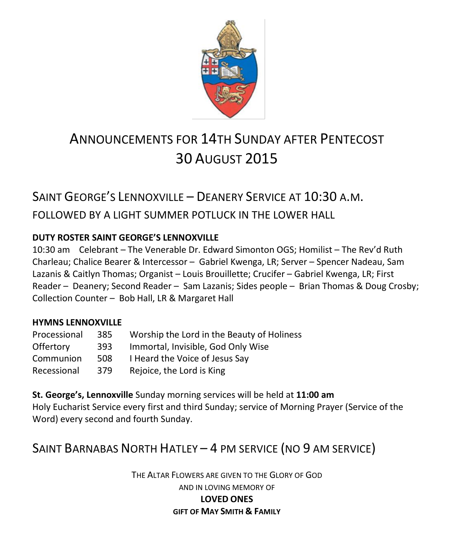

# ANNOUNCEMENTS FOR 14TH SUNDAY AFTER PENTECOST 30 AUGUST 2015

# SAINT GEORGE'S LENNOXVILLE – DEANERY SERVICE AT 10:30 A.M. FOLLOWED BY A LIGHT SUMMER POTLUCK IN THE LOWER HALL

### **DUTY ROSTER SAINT GEORGE'S LENNOXVILLE**

10:30 am Celebrant – The Venerable Dr. Edward Simonton OGS; Homilist – The Rev'd Ruth Charleau; Chalice Bearer & Intercessor – Gabriel Kwenga, LR; Server – Spencer Nadeau, Sam Lazanis & Caitlyn Thomas; Organist – Louis Brouillette; Crucifer – Gabriel Kwenga, LR; First Reader – Deanery; Second Reader – Sam Lazanis; Sides people – Brian Thomas & Doug Crosby; Collection Counter – Bob Hall, LR & Margaret Hall

### **HYMNS LENNOXVILLE**

| Processional | 385                                       | Worship the Lord in the Beauty of Holiness |  |
|--------------|-------------------------------------------|--------------------------------------------|--|
| Offertory    | Immortal, Invisible, God Only Wise<br>393 |                                            |  |
| Communion    | 508                                       | I Heard the Voice of Jesus Say             |  |
| Recessional  | 379                                       | Rejoice, the Lord is King                  |  |

**St. George's, Lennoxville** Sunday morning services will be held at **11:00 am** Holy Eucharist Service every first and third Sunday; service of Morning Prayer (Service of the Word) every second and fourth Sunday.

## SAINT BARNABAS NORTH HATLEY – 4 PM SERVICE (NO 9 AM SERVICE)

THE ALTAR FLOWERS ARE GIVEN TO THE GLORY OF GOD AND IN LOVING MEMORY OF **LOVED ONES GIFT OF MAY SMITH & FAMILY**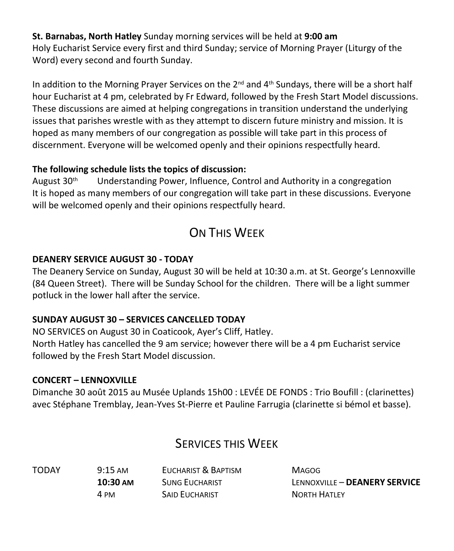**St. Barnabas, North Hatley** Sunday morning services will be held at **9:00 am** Holy Eucharist Service every first and third Sunday; service of Morning Prayer (Liturgy of the Word) every second and fourth Sunday.

In addition to the Morning Prayer Services on the 2<sup>nd</sup> and 4<sup>th</sup> Sundays, there will be a short half hour Eucharist at 4 pm, celebrated by Fr Edward, followed by the Fresh Start Model discussions. These discussions are aimed at helping congregations in transition understand the underlying issues that parishes wrestle with as they attempt to discern future ministry and mission. It is hoped as many members of our congregation as possible will take part in this process of discernment. Everyone will be welcomed openly and their opinions respectfully heard.

### **The following schedule lists the topics of discussion:**

August  $30<sup>th</sup>$  Understanding Power, Influence, Control and Authority in a congregation It is hoped as many members of our congregation will take part in these discussions. Everyone will be welcomed openly and their opinions respectfully heard.

# ON THIS WFFK

### **DEANERY SERVICE AUGUST 30 - TODAY**

The Deanery Service on Sunday, August 30 will be held at 10:30 a.m. at St. George's Lennoxville (84 Queen Street). There will be Sunday School for the children. There will be a light summer potluck in the lower hall after the service.

### **SUNDAY AUGUST 30 – SERVICES CANCELLED TODAY**

NO SERVICES on August 30 in Coaticook, Ayer's Cliff, Hatley.

North Hatley has cancelled the 9 am service; however there will be a 4 pm Eucharist service followed by the Fresh Start Model discussion.

### **CONCERT – LENNOXVILLE**

Dimanche 30 août 2015 au Musée Uplands 15h00 : LEVÉE DE FONDS : Trio Boufill : (clarinettes) avec Stéphane Tremblay, Jean-Yves St-Pierre et Pauline Farrugia (clarinette si bémol et basse).

# SERVICES THIS WEEK

TODAY 9:15 AM EUCHARIST & BAPTISM MAGOG 4 PM SAID EUCHARIST NORTH HATLEY

**10:30 AM** SUNG EUCHARIST LENNOXVILLE – **DEANERY SERVICE**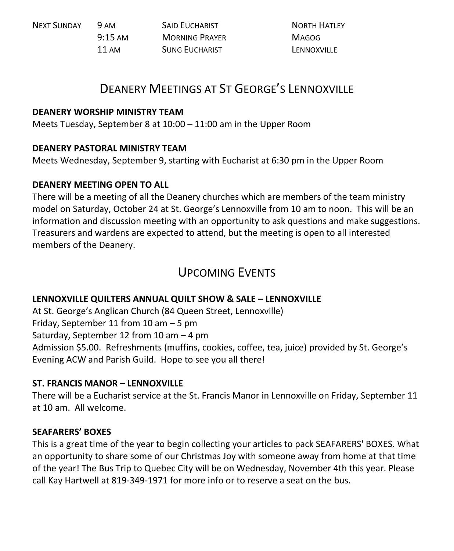| <b>NEXT SUNDAY</b> | 9 AM              | <b>SAID EUCHARIST</b> | <b>NORTH HATLEY</b> |
|--------------------|-------------------|-----------------------|---------------------|
|                    | $9:15 \text{ AM}$ | <b>MORNING PRAYER</b> | <b>MAGOG</b>        |
|                    | 11 AM             | <b>SUNG EUCHARIST</b> | LENNOXVILLE         |

### DEANERY MEETINGS AT ST GEORGE'S LENNOXVILLE

### **DEANERY WORSHIP MINISTRY TEAM**

Meets Tuesday, September 8 at 10:00 – 11:00 am in the Upper Room

### **DEANERY PASTORAL MINISTRY TEAM**

Meets Wednesday, September 9, starting with Eucharist at 6:30 pm in the Upper Room

### **DEANERY MEETING OPEN TO ALL**

There will be a meeting of all the Deanery churches which are members of the team ministry model on Saturday, October 24 at St. George's Lennoxville from 10 am to noon. This will be an information and discussion meeting with an opportunity to ask questions and make suggestions. Treasurers and wardens are expected to attend, but the meeting is open to all interested members of the Deanery.

### UPCOMING EVENTS

### **LENNOXVILLE QUILTERS ANNUAL QUILT SHOW & SALE – LENNOXVILLE**

At St. George's Anglican Church (84 Queen Street, Lennoxville) Friday, September 11 from 10 am – 5 pm Saturday, September 12 from 10 am – 4 pm Admission \$5.00. Refreshments (muffins, cookies, coffee, tea, juice) provided by St. George's Evening ACW and Parish Guild. Hope to see you all there!

### **ST. FRANCIS MANOR – LENNOXVILLE**

There will be a Eucharist service at the St. Francis Manor in Lennoxville on Friday, September 11 at 10 am. All welcome.

#### **SEAFARERS' BOXES**

This is a great time of the year to begin collecting your articles to pack SEAFARERS' BOXES. What an opportunity to share some of our Christmas Joy with someone away from home at that time of the year! The Bus Trip to Quebec City will be on Wednesday, November 4th this year. Please call Kay Hartwell at 819-349-1971 for more info or to reserve a seat on the bus.